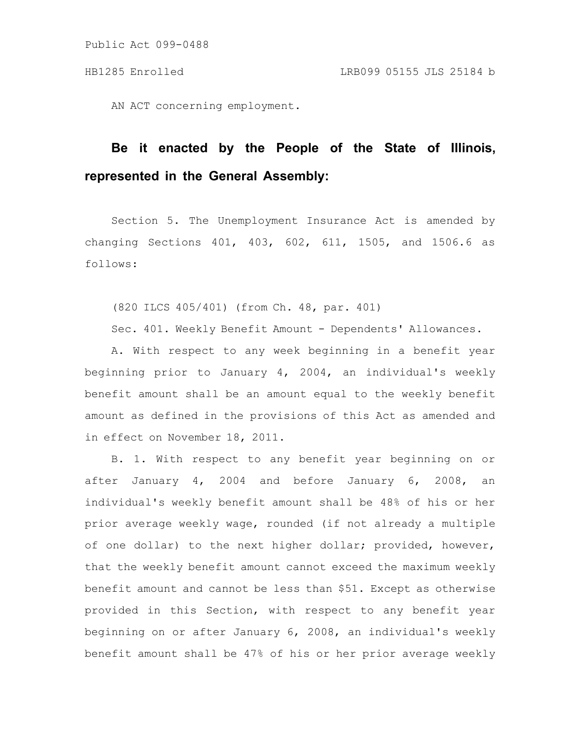AN ACT concerning employment.

# **Be it enacted by the People of the State of Illinois, represented in the General Assembly:**

Section 5. The Unemployment Insurance Act is amended by changing Sections 401, 403, 602, 611, 1505, and 1506.6 as follows:

(820 ILCS 405/401) (from Ch. 48, par. 401)

Sec. 401. Weekly Benefit Amount - Dependents' Allowances.

A. With respect to any week beginning in a benefit year beginning prior to January 4, 2004, an individual's weekly benefit amount shall be an amount equal to the weekly benefit amount as defined in the provisions of this Act as amended and in effect on November 18, 2011.

B. 1. With respect to any benefit year beginning on or after January 4, 2004 and before January 6, 2008, an individual's weekly benefit amount shall be 48% of his or her prior average weekly wage, rounded (if not already a multiple of one dollar) to the next higher dollar; provided, however, that the weekly benefit amount cannot exceed the maximum weekly benefit amount and cannot be less than \$51. Except as otherwise provided in this Section, with respect to any benefit year beginning on or after January 6, 2008, an individual's weekly benefit amount shall be 47% of his or her prior average weekly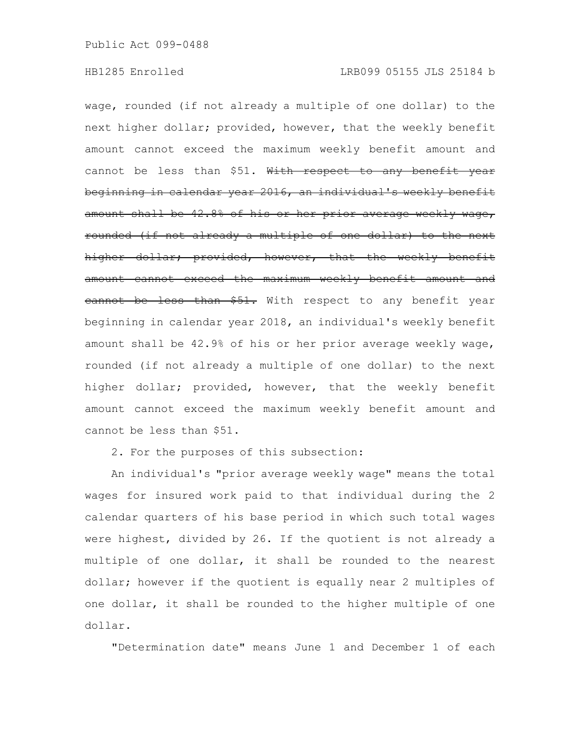wage, rounded (if not already a multiple of one dollar) to the next higher dollar; provided, however, that the weekly benefit amount cannot exceed the maximum weekly benefit amount and cannot be less than \$51. With respect to any benefit year beginning in calendar year 2016, an individual's weekly benefit amount shall be 42.8% of his or her prior average weekly wage, rounded (if not already a multiple of one dollar) to the next higher dollar; provided, however, that the weekly benefit amount cannot exceed the maximum weekly benefit amount and eannot be less than \$51. With respect to any benefit year beginning in calendar year 2018, an individual's weekly benefit amount shall be 42.9% of his or her prior average weekly wage, rounded (if not already a multiple of one dollar) to the next higher dollar; provided, however, that the weekly benefit amount cannot exceed the maximum weekly benefit amount and cannot be less than \$51.

2. For the purposes of this subsection:

An individual's "prior average weekly wage" means the total wages for insured work paid to that individual during the 2 calendar quarters of his base period in which such total wages were highest, divided by 26. If the quotient is not already a multiple of one dollar, it shall be rounded to the nearest dollar; however if the quotient is equally near 2 multiples of one dollar, it shall be rounded to the higher multiple of one dollar.

"Determination date" means June 1 and December 1 of each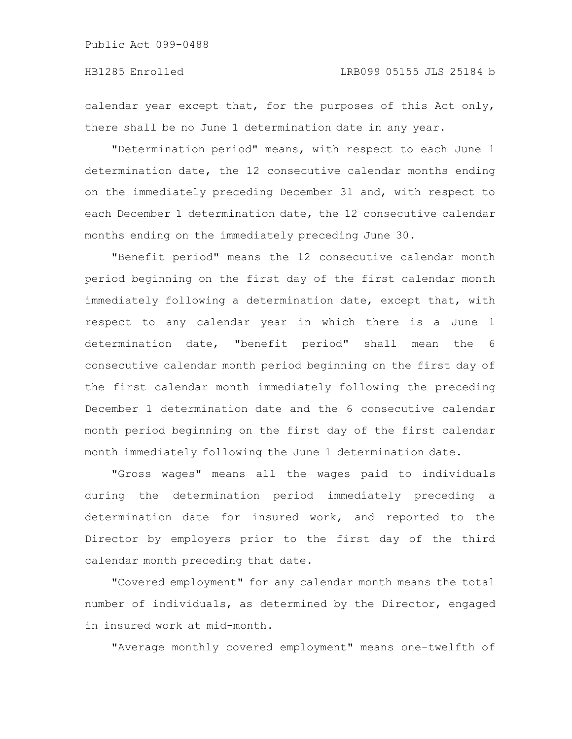### HB1285 Enrolled LRB099 05155 JLS 25184 b

calendar year except that, for the purposes of this Act only, there shall be no June 1 determination date in any year.

"Determination period" means, with respect to each June 1 determination date, the 12 consecutive calendar months ending on the immediately preceding December 31 and, with respect to each December 1 determination date, the 12 consecutive calendar months ending on the immediately preceding June 30.

"Benefit period" means the 12 consecutive calendar month period beginning on the first day of the first calendar month immediately following a determination date, except that, with respect to any calendar year in which there is a June 1 determination date, "benefit period" shall mean the 6 consecutive calendar month period beginning on the first day of the first calendar month immediately following the preceding December 1 determination date and the 6 consecutive calendar month period beginning on the first day of the first calendar month immediately following the June 1 determination date.

"Gross wages" means all the wages paid to individuals during the determination period immediately preceding a determination date for insured work, and reported to the Director by employers prior to the first day of the third calendar month preceding that date.

"Covered employment" for any calendar month means the total number of individuals, as determined by the Director, engaged in insured work at mid-month.

"Average monthly covered employment" means one-twelfth of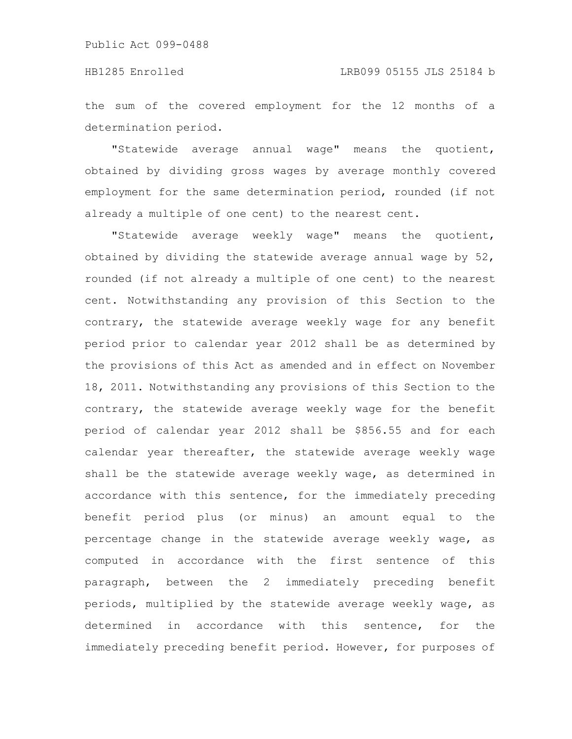#### HB1285 Enrolled LRB099 05155 JLS 25184 b

the sum of the covered employment for the 12 months of a determination period.

"Statewide average annual wage" means the quotient, obtained by dividing gross wages by average monthly covered employment for the same determination period, rounded (if not already a multiple of one cent) to the nearest cent.

"Statewide average weekly wage" means the quotient, obtained by dividing the statewide average annual wage by 52, rounded (if not already a multiple of one cent) to the nearest cent. Notwithstanding any provision of this Section to the contrary, the statewide average weekly wage for any benefit period prior to calendar year 2012 shall be as determined by the provisions of this Act as amended and in effect on November 18, 2011. Notwithstanding any provisions of this Section to the contrary, the statewide average weekly wage for the benefit period of calendar year 2012 shall be \$856.55 and for each calendar year thereafter, the statewide average weekly wage shall be the statewide average weekly wage, as determined in accordance with this sentence, for the immediately preceding benefit period plus (or minus) an amount equal to the percentage change in the statewide average weekly wage, as computed in accordance with the first sentence of this paragraph, between the 2 immediately preceding benefit periods, multiplied by the statewide average weekly wage, as determined in accordance with this sentence, for the immediately preceding benefit period. However, for purposes of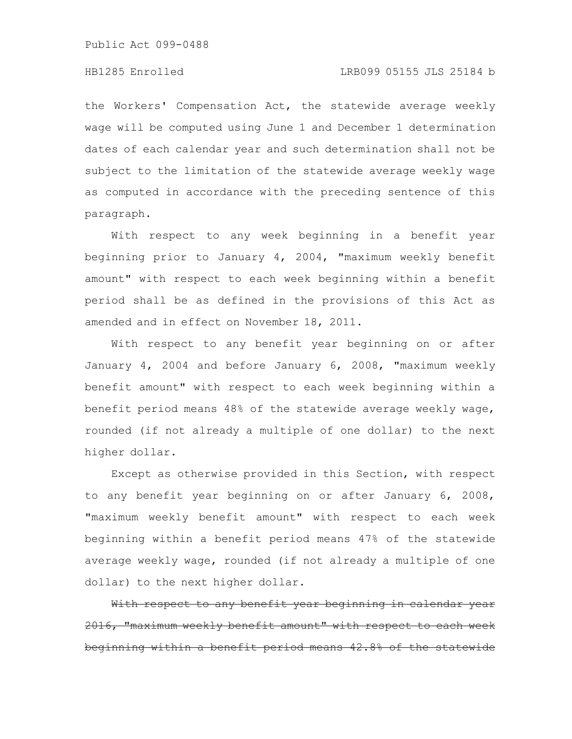### HB1285 Enrolled LRB099 05155 JLS 25184 b

the Workers' Compensation Act, the statewide average weekly wage will be computed using June 1 and December 1 determination dates of each calendar year and such determination shall not be subject to the limitation of the statewide average weekly wage as computed in accordance with the preceding sentence of this paragraph.

With respect to any week beginning in a benefit year beginning prior to January 4, 2004, "maximum weekly benefit amount" with respect to each week beginning within a benefit period shall be as defined in the provisions of this Act as amended and in effect on November 18, 2011.

With respect to any benefit year beginning on or after January 4, 2004 and before January 6, 2008, "maximum weekly benefit amount" with respect to each week beginning within a benefit period means 48% of the statewide average weekly wage, rounded (if not already a multiple of one dollar) to the next higher dollar.

Except as otherwise provided in this Section, with respect to any benefit year beginning on or after January 6, 2008, "maximum weekly benefit amount" with respect to each week beginning within a benefit period means 47% of the statewide average weekly wage, rounded (if not already a multiple of one dollar) to the next higher dollar.

With respect to any benefit year beginning in calendar year 2016, "maximum weekly benefit amount" with respect to each week beginning within a benefit period means 42.8% of the statewide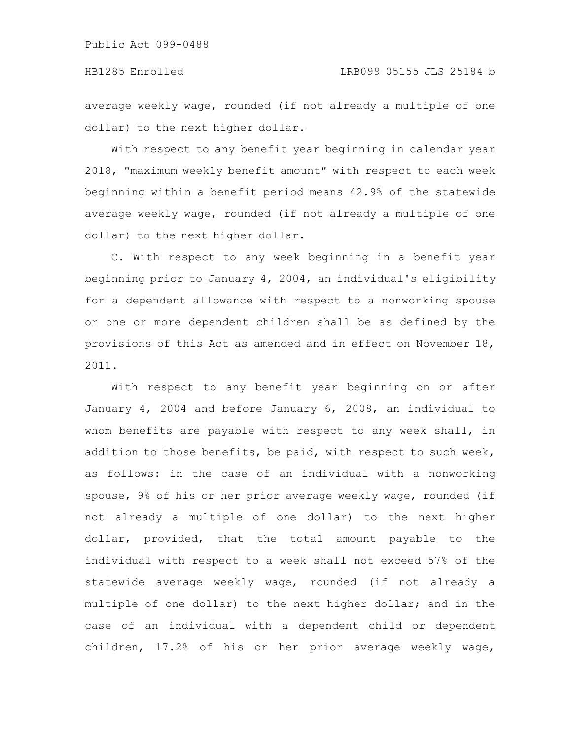average weekly wage, rounded (if not already a multiple dollar) to the next higher dollar.

With respect to any benefit year beginning in calendar year 2018, "maximum weekly benefit amount" with respect to each week beginning within a benefit period means 42.9% of the statewide average weekly wage, rounded (if not already a multiple of one dollar) to the next higher dollar.

C. With respect to any week beginning in a benefit year beginning prior to January 4, 2004, an individual's eligibility for a dependent allowance with respect to a nonworking spouse or one or more dependent children shall be as defined by the provisions of this Act as amended and in effect on November 18, 2011.

With respect to any benefit year beginning on or after January 4, 2004 and before January 6, 2008, an individual to whom benefits are payable with respect to any week shall, in addition to those benefits, be paid, with respect to such week, as follows: in the case of an individual with a nonworking spouse, 9% of his or her prior average weekly wage, rounded (if not already a multiple of one dollar) to the next higher dollar, provided, that the total amount payable to the individual with respect to a week shall not exceed 57% of the statewide average weekly wage, rounded (if not already a multiple of one dollar) to the next higher dollar; and in the case of an individual with a dependent child or dependent children, 17.2% of his or her prior average weekly wage,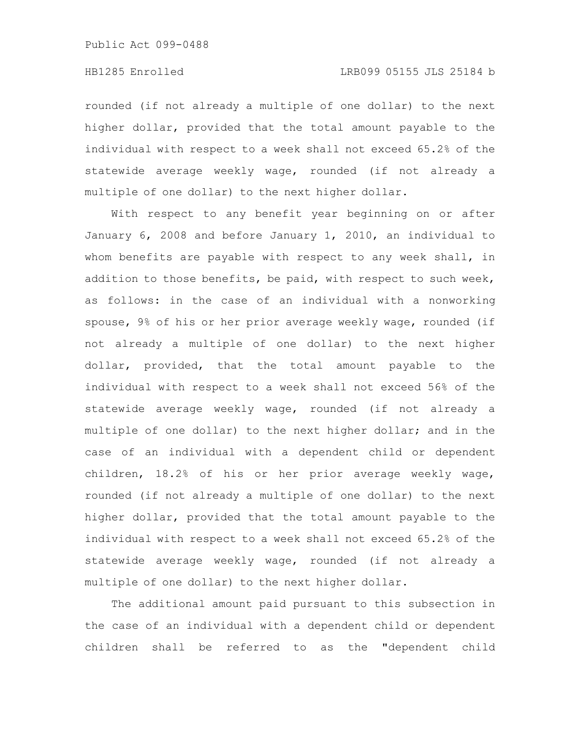rounded (if not already a multiple of one dollar) to the next higher dollar, provided that the total amount payable to the individual with respect to a week shall not exceed 65.2% of the statewide average weekly wage, rounded (if not already a multiple of one dollar) to the next higher dollar.

With respect to any benefit year beginning on or after January 6, 2008 and before January 1, 2010, an individual to whom benefits are payable with respect to any week shall, in addition to those benefits, be paid, with respect to such week, as follows: in the case of an individual with a nonworking spouse, 9% of his or her prior average weekly wage, rounded (if not already a multiple of one dollar) to the next higher dollar, provided, that the total amount payable to the individual with respect to a week shall not exceed 56% of the statewide average weekly wage, rounded (if not already a multiple of one dollar) to the next higher dollar; and in the case of an individual with a dependent child or dependent children, 18.2% of his or her prior average weekly wage, rounded (if not already a multiple of one dollar) to the next higher dollar, provided that the total amount payable to the individual with respect to a week shall not exceed 65.2% of the statewide average weekly wage, rounded (if not already a multiple of one dollar) to the next higher dollar.

The additional amount paid pursuant to this subsection in the case of an individual with a dependent child or dependent children shall be referred to as the "dependent child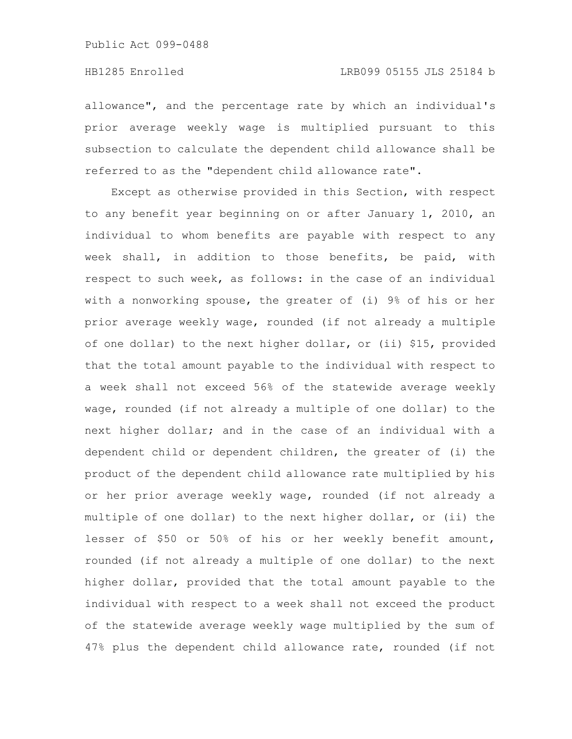allowance", and the percentage rate by which an individual's prior average weekly wage is multiplied pursuant to this subsection to calculate the dependent child allowance shall be referred to as the "dependent child allowance rate".

Except as otherwise provided in this Section, with respect to any benefit year beginning on or after January 1, 2010, an individual to whom benefits are payable with respect to any week shall, in addition to those benefits, be paid, with respect to such week, as follows: in the case of an individual with a nonworking spouse, the greater of (i) 9% of his or her prior average weekly wage, rounded (if not already a multiple of one dollar) to the next higher dollar, or (ii) \$15, provided that the total amount payable to the individual with respect to a week shall not exceed 56% of the statewide average weekly wage, rounded (if not already a multiple of one dollar) to the next higher dollar; and in the case of an individual with a dependent child or dependent children, the greater of (i) the product of the dependent child allowance rate multiplied by his or her prior average weekly wage, rounded (if not already a multiple of one dollar) to the next higher dollar, or (ii) the lesser of \$50 or 50% of his or her weekly benefit amount, rounded (if not already a multiple of one dollar) to the next higher dollar, provided that the total amount payable to the individual with respect to a week shall not exceed the product of the statewide average weekly wage multiplied by the sum of 47% plus the dependent child allowance rate, rounded (if not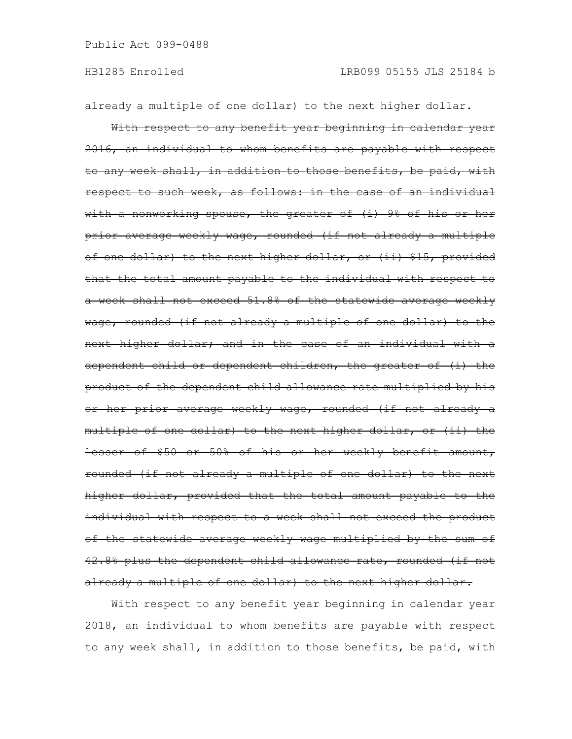already a multiple of one dollar) to the next higher dollar.

With respect to any benefit year beginning in calendar year 2016, an individual to whom benefits are payable with respect to any week shall, in addition to those benefits, be paid, with respect to such week, as follows: in the case of an individual with a nonworking spouse, the greater of (i) 9% of his or her prior average weekly wage, rounded (if not already a multiple of one dollar) to the next higher dollar, or (ii) \$15, provided that the total amount payable to the individual with respect to a week shall not exceed 51.8% of the statewide average weekly wage, rounded (if not already a multiple of one dollar) to the next higher dollar; and in the case of an individual with a dependent child or dependent children, the greater of (i) the product of the dependent child allowance rate multiplied by his or her prior average weekly wage, rounded (if not already a multiple of one dollar) to the next higher dollar, or (ii) the lesser of \$50 or 50% of his or her weekly benefit amount, rounded (if not already a multiple of one dollar) to the next higher dollar, provided that the total amount payable to the individual with respect to a week shall not exceed the product of the statewide average weekly wage multiplied by the sum of 42.8% plus the dependent child allowance rate, rounded (if not already a multiple of one dollar) to the next higher dollar.

With respect to any benefit year beginning in calendar year 2018, an individual to whom benefits are payable with respect to any week shall, in addition to those benefits, be paid, with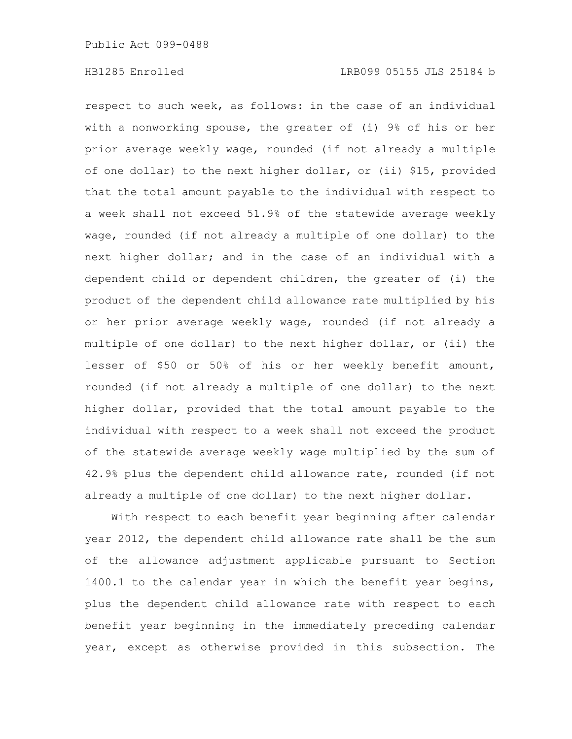respect to such week, as follows: in the case of an individual with a nonworking spouse, the greater of (i) 9% of his or her prior average weekly wage, rounded (if not already a multiple of one dollar) to the next higher dollar, or (ii) \$15, provided that the total amount payable to the individual with respect to a week shall not exceed 51.9% of the statewide average weekly wage, rounded (if not already a multiple of one dollar) to the next higher dollar; and in the case of an individual with a dependent child or dependent children, the greater of (i) the product of the dependent child allowance rate multiplied by his or her prior average weekly wage, rounded (if not already a multiple of one dollar) to the next higher dollar, or (ii) the lesser of \$50 or 50% of his or her weekly benefit amount, rounded (if not already a multiple of one dollar) to the next higher dollar, provided that the total amount payable to the individual with respect to a week shall not exceed the product of the statewide average weekly wage multiplied by the sum of 42.9% plus the dependent child allowance rate, rounded (if not already a multiple of one dollar) to the next higher dollar.

With respect to each benefit year beginning after calendar year 2012, the dependent child allowance rate shall be the sum of the allowance adjustment applicable pursuant to Section 1400.1 to the calendar year in which the benefit year begins, plus the dependent child allowance rate with respect to each benefit year beginning in the immediately preceding calendar year, except as otherwise provided in this subsection. The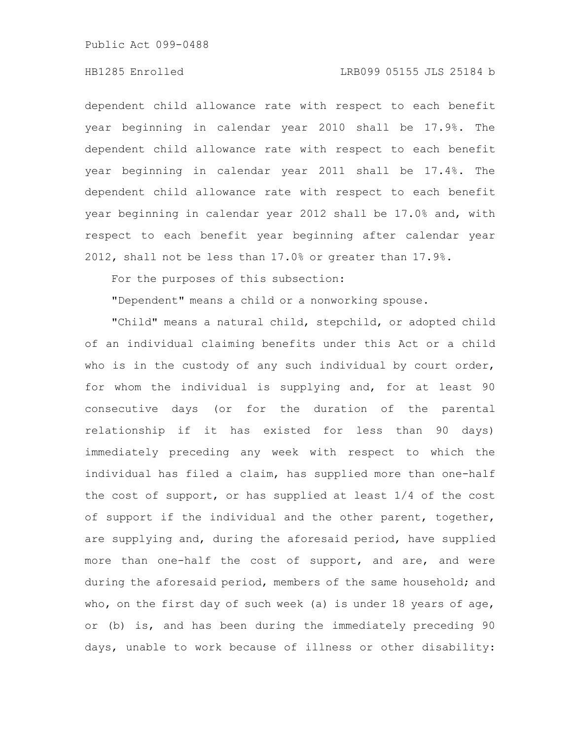#### HB1285 Enrolled LRB099 05155 JLS 25184 b

dependent child allowance rate with respect to each benefit year beginning in calendar year 2010 shall be 17.9%. The dependent child allowance rate with respect to each benefit year beginning in calendar year 2011 shall be 17.4%. The dependent child allowance rate with respect to each benefit year beginning in calendar year 2012 shall be 17.0% and, with respect to each benefit year beginning after calendar year 2012, shall not be less than 17.0% or greater than 17.9%.

For the purposes of this subsection:

"Dependent" means a child or a nonworking spouse.

"Child" means a natural child, stepchild, or adopted child of an individual claiming benefits under this Act or a child who is in the custody of any such individual by court order, for whom the individual is supplying and, for at least 90 consecutive days (or for the duration of the parental relationship if it has existed for less than 90 days) immediately preceding any week with respect to which the individual has filed a claim, has supplied more than one-half the cost of support, or has supplied at least 1/4 of the cost of support if the individual and the other parent, together, are supplying and, during the aforesaid period, have supplied more than one-half the cost of support, and are, and were during the aforesaid period, members of the same household; and who, on the first day of such week (a) is under 18 years of age, or (b) is, and has been during the immediately preceding 90 days, unable to work because of illness or other disability: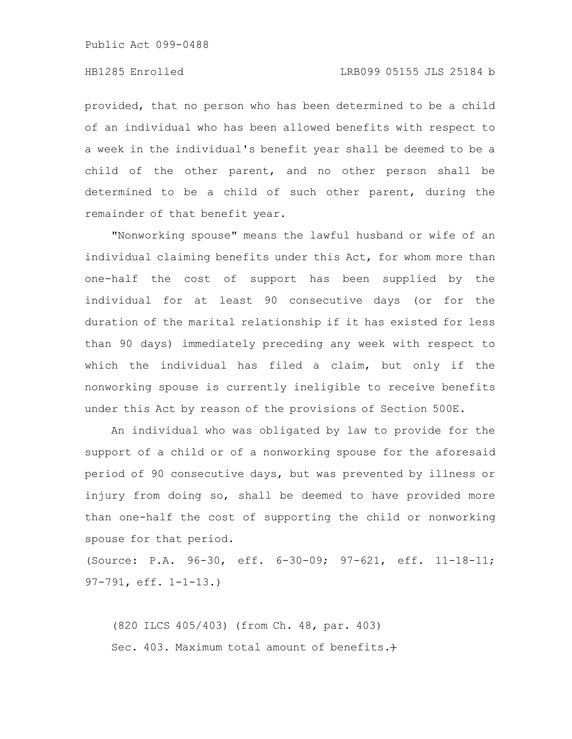### HB1285 Enrolled LRB099 05155 JLS 25184 b

provided, that no person who has been determined to be a child of an individual who has been allowed benefits with respect to a week in the individual's benefit year shall be deemed to be a child of the other parent, and no other person shall be determined to be a child of such other parent, during the remainder of that benefit year.

"Nonworking spouse" means the lawful husband or wife of an individual claiming benefits under this Act, for whom more than one-half the cost of support has been supplied by the individual for at least 90 consecutive days (or for the duration of the marital relationship if it has existed for less than 90 days) immediately preceding any week with respect to which the individual has filed a claim, but only if the nonworking spouse is currently ineligible to receive benefits under this Act by reason of the provisions of Section 500E.

An individual who was obligated by law to provide for the support of a child or of a nonworking spouse for the aforesaid period of 90 consecutive days, but was prevented by illness or injury from doing so, shall be deemed to have provided more than one-half the cost of supporting the child or nonworking spouse for that period.

(Source: P.A. 96-30, eff. 6-30-09; 97-621, eff. 11-18-11; 97-791, eff. 1-1-13.)

(820 ILCS 405/403) (from Ch. 48, par. 403) Sec. 403. Maximum total amount of benefits.+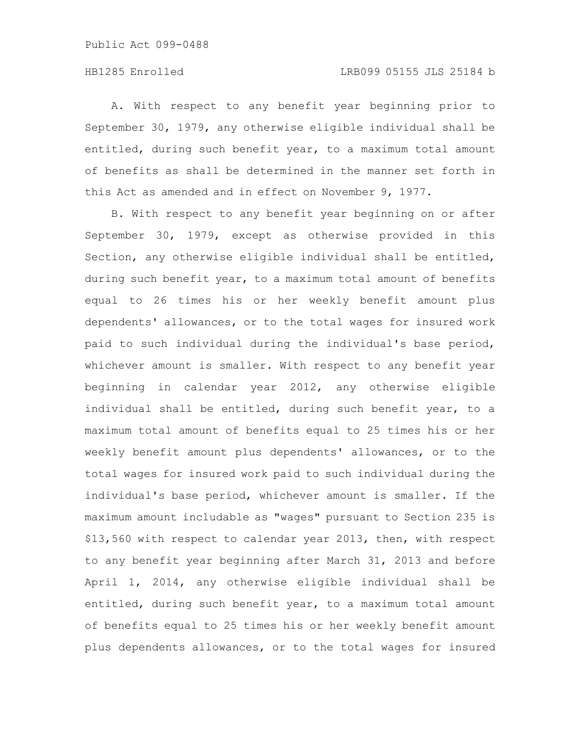### HB1285 Enrolled LRB099 05155 JLS 25184 b

A. With respect to any benefit year beginning prior to September 30, 1979, any otherwise eligible individual shall be entitled, during such benefit year, to a maximum total amount of benefits as shall be determined in the manner set forth in this Act as amended and in effect on November 9, 1977.

B. With respect to any benefit year beginning on or after September 30, 1979, except as otherwise provided in this Section, any otherwise eligible individual shall be entitled, during such benefit year, to a maximum total amount of benefits equal to 26 times his or her weekly benefit amount plus dependents' allowances, or to the total wages for insured work paid to such individual during the individual's base period, whichever amount is smaller. With respect to any benefit year beginning in calendar year 2012, any otherwise eligible individual shall be entitled, during such benefit year, to a maximum total amount of benefits equal to 25 times his or her weekly benefit amount plus dependents' allowances, or to the total wages for insured work paid to such individual during the individual's base period, whichever amount is smaller. If the maximum amount includable as "wages" pursuant to Section 235 is \$13,560 with respect to calendar year 2013, then, with respect to any benefit year beginning after March 31, 2013 and before April 1, 2014, any otherwise eligible individual shall be entitled, during such benefit year, to a maximum total amount of benefits equal to 25 times his or her weekly benefit amount plus dependents allowances, or to the total wages for insured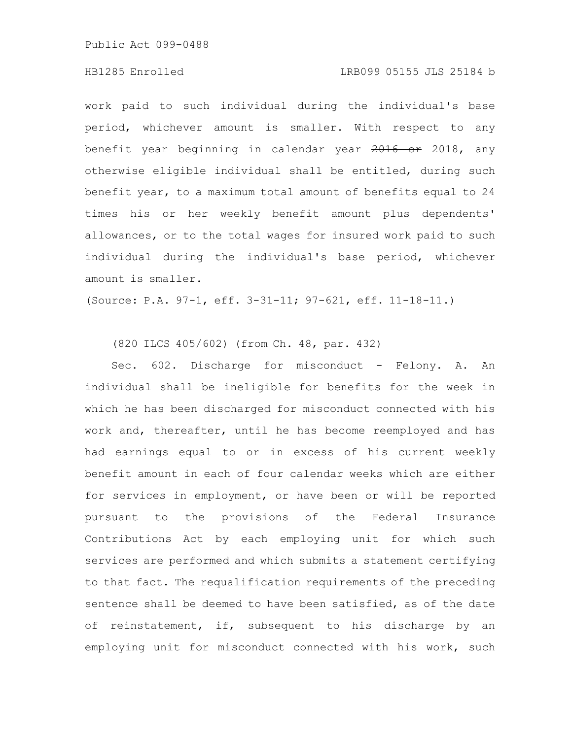#### HB1285 Enrolled LRB099 05155 JLS 25184 b

work paid to such individual during the individual's base period, whichever amount is smaller. With respect to any benefit year beginning in calendar year 2016 or 2018, any otherwise eligible individual shall be entitled, during such benefit year, to a maximum total amount of benefits equal to 24 times his or her weekly benefit amount plus dependents' allowances, or to the total wages for insured work paid to such individual during the individual's base period, whichever amount is smaller.

(Source: P.A. 97-1, eff. 3-31-11; 97-621, eff. 11-18-11.)

## (820 ILCS 405/602) (from Ch. 48, par. 432)

Sec. 602. Discharge for misconduct - Felony. A. An individual shall be ineligible for benefits for the week in which he has been discharged for misconduct connected with his work and, thereafter, until he has become reemployed and has had earnings equal to or in excess of his current weekly benefit amount in each of four calendar weeks which are either for services in employment, or have been or will be reported pursuant to the provisions of the Federal Insurance Contributions Act by each employing unit for which such services are performed and which submits a statement certifying to that fact. The requalification requirements of the preceding sentence shall be deemed to have been satisfied, as of the date of reinstatement, if, subsequent to his discharge by an employing unit for misconduct connected with his work, such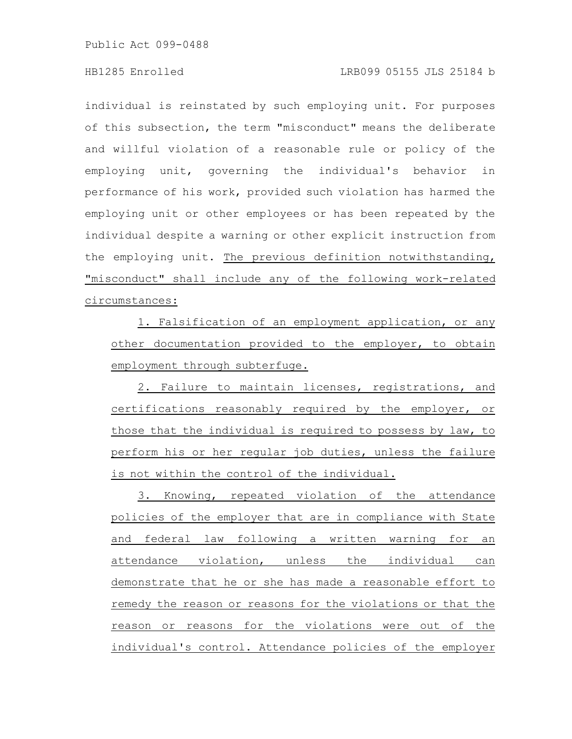individual is reinstated by such employing unit. For purposes of this subsection, the term "misconduct" means the deliberate and willful violation of a reasonable rule or policy of the employing unit, governing the individual's behavior in performance of his work, provided such violation has harmed the employing unit or other employees or has been repeated by the individual despite a warning or other explicit instruction from the employing unit. The previous definition notwithstanding, "misconduct" shall include any of the following work-related circumstances:

1. Falsification of an employment application, or any other documentation provided to the employer, to obtain employment through subterfuge.

2. Failure to maintain licenses, registrations, and certifications reasonably required by the employer, or those that the individual is required to possess by law, to perform his or her regular job duties, unless the failure is not within the control of the individual.

3. Knowing, repeated violation of the attendance policies of the employer that are in compliance with State and federal law following a written warning for an attendance violation, unless the individual can demonstrate that he or she has made a reasonable effort to remedy the reason or reasons for the violations or that the reason or reasons for the violations were out of the individual's control. Attendance policies of the employer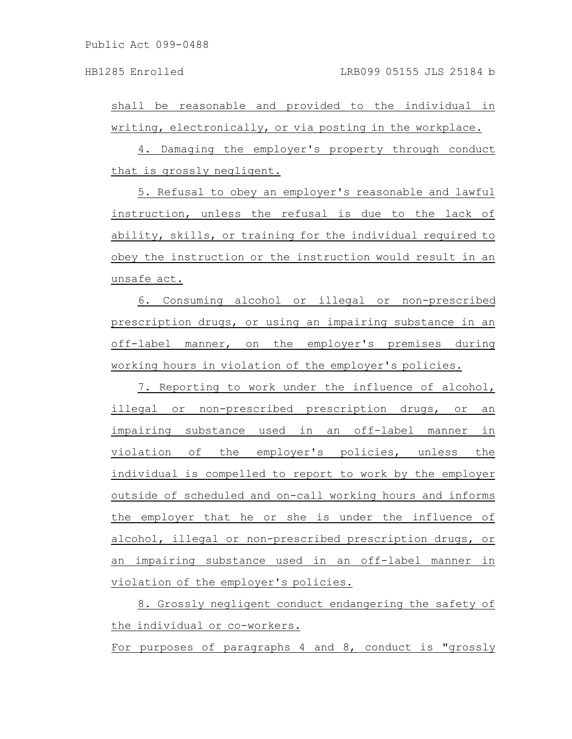shall be reasonable and provided to the individual in writing, electronically, or via posting in the workplace.

4. Damaging the employer's property through conduct that is grossly negligent.

5. Refusal to obey an employer's reasonable and lawful instruction, unless the refusal is due to the lack of ability, skills, or training for the individual required to obey the instruction or the instruction would result in an unsafe act.

6. Consuming alcohol or illegal or non-prescribed prescription drugs, or using an impairing substance in an off-label manner, on the employer's premises during working hours in violation of the employer's policies.

7. Reporting to work under the influence of alcohol, illegal or non-prescribed prescription drugs, or an impairing substance used in an off-label manner in violation of the employer's policies, unless the individual is compelled to report to work by the employer outside of scheduled and on-call working hours and informs the employer that he or she is under the influence of alcohol, illegal or non-prescribed prescription drugs, or an impairing substance used in an off-label manner in violation of the employer's policies.

8. Grossly negligent conduct endangering the safety of the individual or co-workers.

For purposes of paragraphs 4 and 8, conduct is "grossly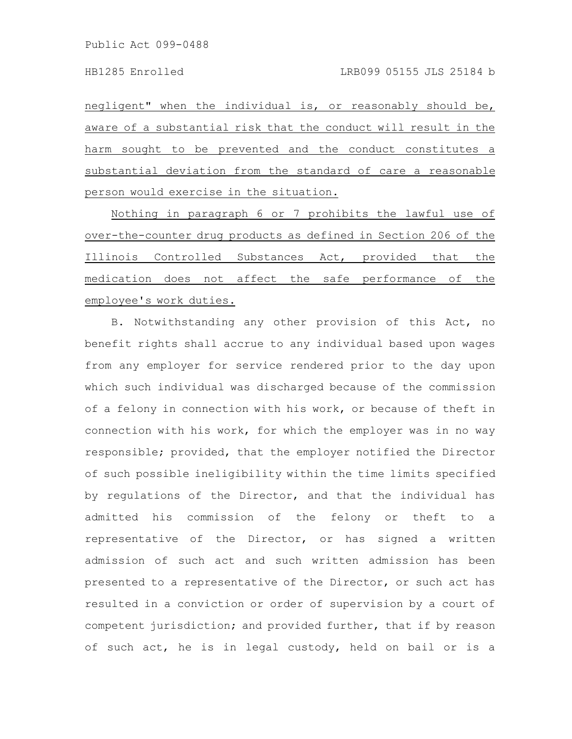negligent" when the individual is, or reasonably should be, aware of a substantial risk that the conduct will result in the harm sought to be prevented and the conduct constitutes a substantial deviation from the standard of care a reasonable person would exercise in the situation.

Nothing in paragraph 6 or 7 prohibits the lawful use of over-the-counter drug products as defined in Section 206 of the Illinois Controlled Substances Act, provided that the medication does not affect the safe performance of the employee's work duties.

B. Notwithstanding any other provision of this Act, no benefit rights shall accrue to any individual based upon wages from any employer for service rendered prior to the day upon which such individual was discharged because of the commission of a felony in connection with his work, or because of theft in connection with his work, for which the employer was in no way responsible; provided, that the employer notified the Director of such possible ineligibility within the time limits specified by regulations of the Director, and that the individual has admitted his commission of the felony or theft to a representative of the Director, or has signed a written admission of such act and such written admission has been presented to a representative of the Director, or such act has resulted in a conviction or order of supervision by a court of competent jurisdiction; and provided further, that if by reason of such act, he is in legal custody, held on bail or is a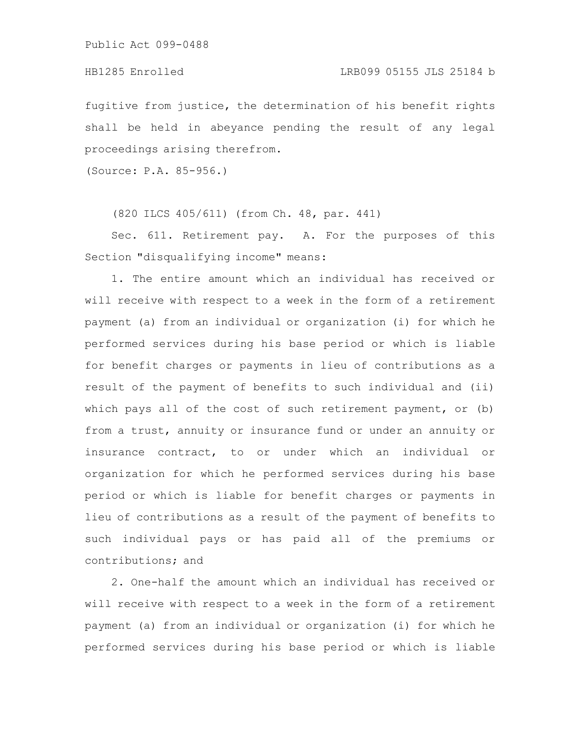fugitive from justice, the determination of his benefit rights shall be held in abeyance pending the result of any legal proceedings arising therefrom.

(Source: P.A. 85-956.)

(820 ILCS 405/611) (from Ch. 48, par. 441)

Sec. 611. Retirement pay. A. For the purposes of this Section "disqualifying income" means:

1. The entire amount which an individual has received or will receive with respect to a week in the form of a retirement payment (a) from an individual or organization (i) for which he performed services during his base period or which is liable for benefit charges or payments in lieu of contributions as a result of the payment of benefits to such individual and (ii) which pays all of the cost of such retirement payment, or (b) from a trust, annuity or insurance fund or under an annuity or insurance contract, to or under which an individual or organization for which he performed services during his base period or which is liable for benefit charges or payments in lieu of contributions as a result of the payment of benefits to such individual pays or has paid all of the premiums or contributions; and

2. One-half the amount which an individual has received or will receive with respect to a week in the form of a retirement payment (a) from an individual or organization (i) for which he performed services during his base period or which is liable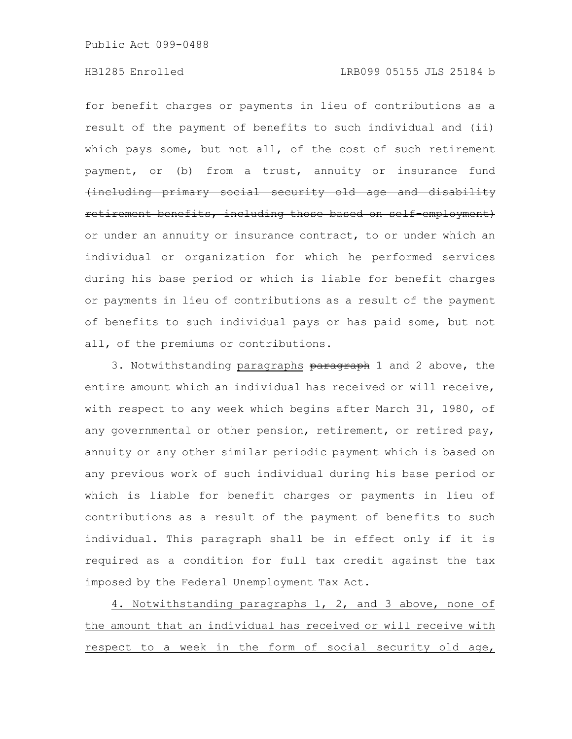#### HB1285 Enrolled LRB099 05155 JLS 25184 b

for benefit charges or payments in lieu of contributions as a result of the payment of benefits to such individual and (ii) which pays some, but not all, of the cost of such retirement payment, or (b) from a trust, annuity or insurance fund (including primary social security old age and disability retirement benefits, including those based on self employment) or under an annuity or insurance contract, to or under which an individual or organization for which he performed services during his base period or which is liable for benefit charges or payments in lieu of contributions as a result of the payment of benefits to such individual pays or has paid some, but not all, of the premiums or contributions.

3. Notwithstanding paragraphs paragraph 1 and 2 above, the entire amount which an individual has received or will receive, with respect to any week which begins after March 31, 1980, of any governmental or other pension, retirement, or retired pay, annuity or any other similar periodic payment which is based on any previous work of such individual during his base period or which is liable for benefit charges or payments in lieu of contributions as a result of the payment of benefits to such individual. This paragraph shall be in effect only if it is required as a condition for full tax credit against the tax imposed by the Federal Unemployment Tax Act.

4. Notwithstanding paragraphs 1, 2, and 3 above, none of the amount that an individual has received or will receive with respect to a week in the form of social security old age,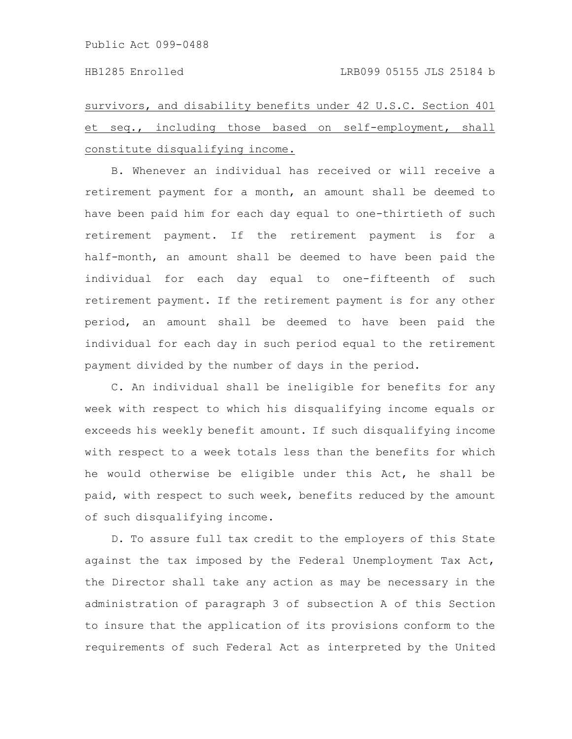survivors, and disability benefits under 42 U.S.C. Section 401 et seq., including those based on self-employment, shall constitute disqualifying income.

B. Whenever an individual has received or will receive a retirement payment for a month, an amount shall be deemed to have been paid him for each day equal to one-thirtieth of such retirement payment. If the retirement payment is for a half-month, an amount shall be deemed to have been paid the individual for each day equal to one-fifteenth of such retirement payment. If the retirement payment is for any other period, an amount shall be deemed to have been paid the individual for each day in such period equal to the retirement payment divided by the number of days in the period.

C. An individual shall be ineligible for benefits for any week with respect to which his disqualifying income equals or exceeds his weekly benefit amount. If such disqualifying income with respect to a week totals less than the benefits for which he would otherwise be eligible under this Act, he shall be paid, with respect to such week, benefits reduced by the amount of such disqualifying income.

D. To assure full tax credit to the employers of this State against the tax imposed by the Federal Unemployment Tax Act, the Director shall take any action as may be necessary in the administration of paragraph 3 of subsection A of this Section to insure that the application of its provisions conform to the requirements of such Federal Act as interpreted by the United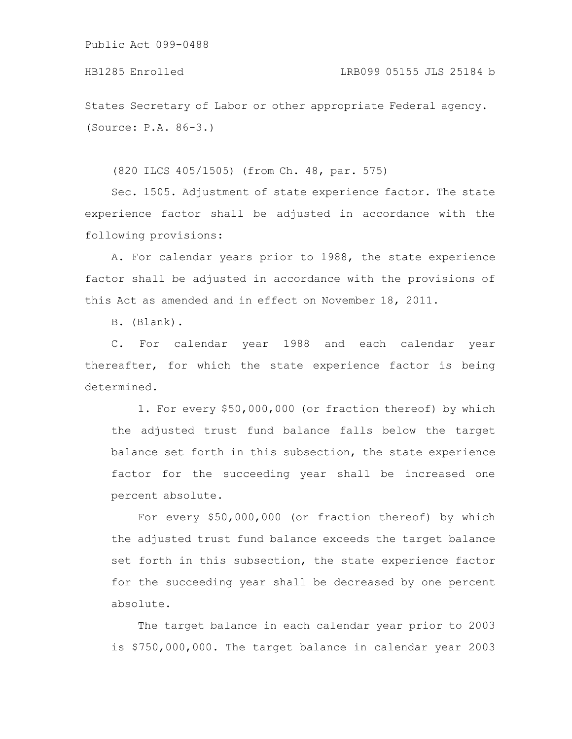States Secretary of Labor or other appropriate Federal agency. (Source: P.A. 86-3.)

(820 ILCS 405/1505) (from Ch. 48, par. 575)

Sec. 1505. Adjustment of state experience factor. The state experience factor shall be adjusted in accordance with the following provisions:

A. For calendar years prior to 1988, the state experience factor shall be adjusted in accordance with the provisions of this Act as amended and in effect on November 18, 2011.

B. (Blank).

C. For calendar year 1988 and each calendar year thereafter, for which the state experience factor is being determined.

1. For every \$50,000,000 (or fraction thereof) by which the adjusted trust fund balance falls below the target balance set forth in this subsection, the state experience factor for the succeeding year shall be increased one percent absolute.

For every \$50,000,000 (or fraction thereof) by which the adjusted trust fund balance exceeds the target balance set forth in this subsection, the state experience factor for the succeeding year shall be decreased by one percent absolute.

The target balance in each calendar year prior to 2003 is \$750,000,000. The target balance in calendar year 2003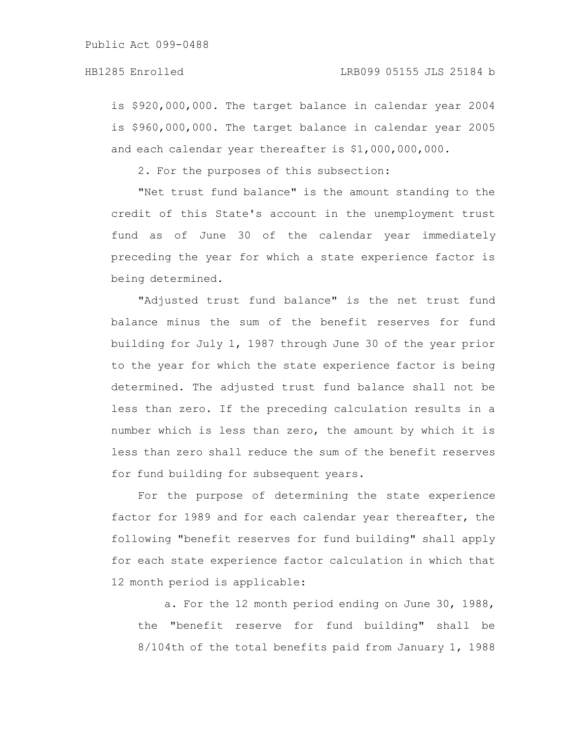is \$920,000,000. The target balance in calendar year 2004 is \$960,000,000. The target balance in calendar year 2005 and each calendar year thereafter is \$1,000,000,000.

2. For the purposes of this subsection:

"Net trust fund balance" is the amount standing to the credit of this State's account in the unemployment trust fund as of June 30 of the calendar year immediately preceding the year for which a state experience factor is being determined.

"Adjusted trust fund balance" is the net trust fund balance minus the sum of the benefit reserves for fund building for July 1, 1987 through June 30 of the year prior to the year for which the state experience factor is being determined. The adjusted trust fund balance shall not be less than zero. If the preceding calculation results in a number which is less than zero, the amount by which it is less than zero shall reduce the sum of the benefit reserves for fund building for subsequent years.

For the purpose of determining the state experience factor for 1989 and for each calendar year thereafter, the following "benefit reserves for fund building" shall apply for each state experience factor calculation in which that 12 month period is applicable:

a. For the 12 month period ending on June 30, 1988, the "benefit reserve for fund building" shall be 8/104th of the total benefits paid from January 1, 1988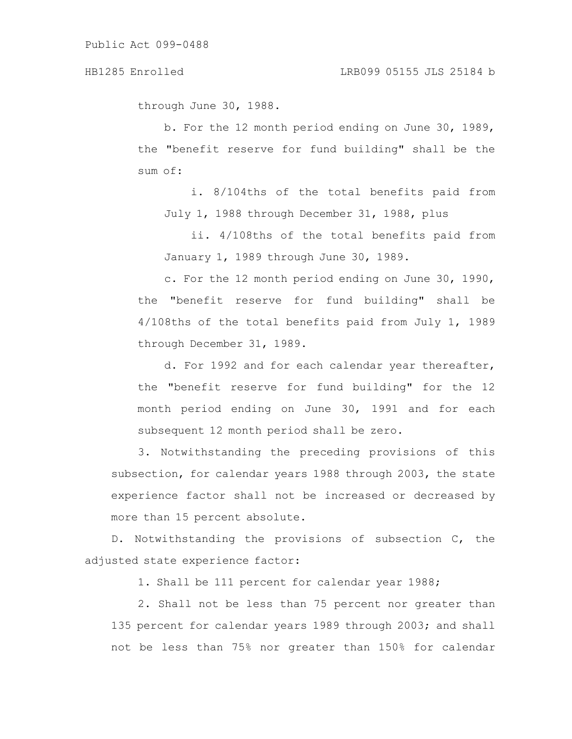through June 30, 1988.

b. For the 12 month period ending on June 30, 1989, the "benefit reserve for fund building" shall be the sum of:

i. 8/104ths of the total benefits paid from July 1, 1988 through December 31, 1988, plus

ii. 4/108ths of the total benefits paid from January 1, 1989 through June 30, 1989.

c. For the 12 month period ending on June 30, 1990, the "benefit reserve for fund building" shall be 4/108ths of the total benefits paid from July 1, 1989 through December 31, 1989.

d. For 1992 and for each calendar year thereafter, the "benefit reserve for fund building" for the 12 month period ending on June 30, 1991 and for each subsequent 12 month period shall be zero.

3. Notwithstanding the preceding provisions of this subsection, for calendar years 1988 through 2003, the state experience factor shall not be increased or decreased by more than 15 percent absolute.

D. Notwithstanding the provisions of subsection C, the adjusted state experience factor:

1. Shall be 111 percent for calendar year 1988;

2. Shall not be less than 75 percent nor greater than 135 percent for calendar years 1989 through 2003; and shall not be less than 75% nor greater than 150% for calendar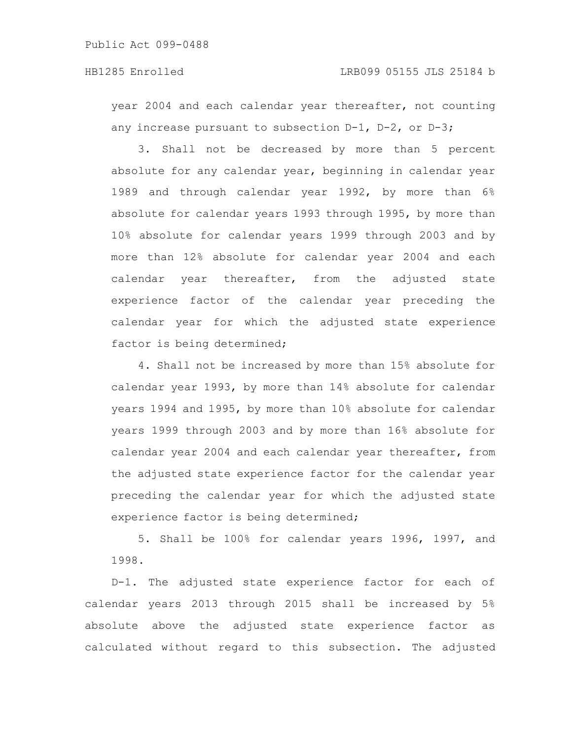year 2004 and each calendar year thereafter, not counting any increase pursuant to subsection D-1, D-2, or D-3;

3. Shall not be decreased by more than 5 percent absolute for any calendar year, beginning in calendar year 1989 and through calendar year 1992, by more than 6% absolute for calendar years 1993 through 1995, by more than 10% absolute for calendar years 1999 through 2003 and by more than 12% absolute for calendar year 2004 and each calendar year thereafter, from the adjusted state experience factor of the calendar year preceding the calendar year for which the adjusted state experience factor is being determined;

4. Shall not be increased by more than 15% absolute for calendar year 1993, by more than 14% absolute for calendar years 1994 and 1995, by more than 10% absolute for calendar years 1999 through 2003 and by more than 16% absolute for calendar year 2004 and each calendar year thereafter, from the adjusted state experience factor for the calendar year preceding the calendar year for which the adjusted state experience factor is being determined;

5. Shall be 100% for calendar years 1996, 1997, and 1998.

D-1. The adjusted state experience factor for each of calendar years 2013 through 2015 shall be increased by 5% absolute above the adjusted state experience factor as calculated without regard to this subsection. The adjusted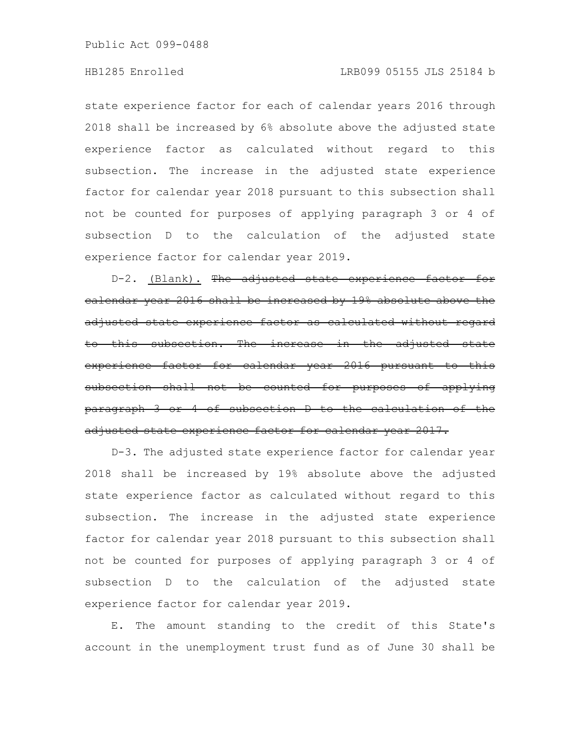#### HB1285 Enrolled LRB099 05155 JLS 25184 b

state experience factor for each of calendar years 2016 through 2018 shall be increased by 6% absolute above the adjusted state experience factor as calculated without regard to this subsection. The increase in the adjusted state experience factor for calendar year 2018 pursuant to this subsection shall not be counted for purposes of applying paragraph 3 or 4 of subsection D to the calculation of the adjusted state experience factor for calendar year 2019.

D-2. (Blank). The adjusted state experience factor for calendar year 2016 shall be increased by 19% absolute above the adjusted state experience factor as calculated without regard to this subsection. The increase in the adjusted state experience factor for calendar year 2016 pursuant subsection shall not be counted for purposes of applying paragraph 3 or 4 of subsection D to the calculation of the adjusted state experience factor for calendar year 2017.

D-3. The adjusted state experience factor for calendar year 2018 shall be increased by 19% absolute above the adjusted state experience factor as calculated without regard to this subsection. The increase in the adjusted state experience factor for calendar year 2018 pursuant to this subsection shall not be counted for purposes of applying paragraph 3 or 4 of subsection D to the calculation of the adjusted state experience factor for calendar year 2019.

E. The amount standing to the credit of this State's account in the unemployment trust fund as of June 30 shall be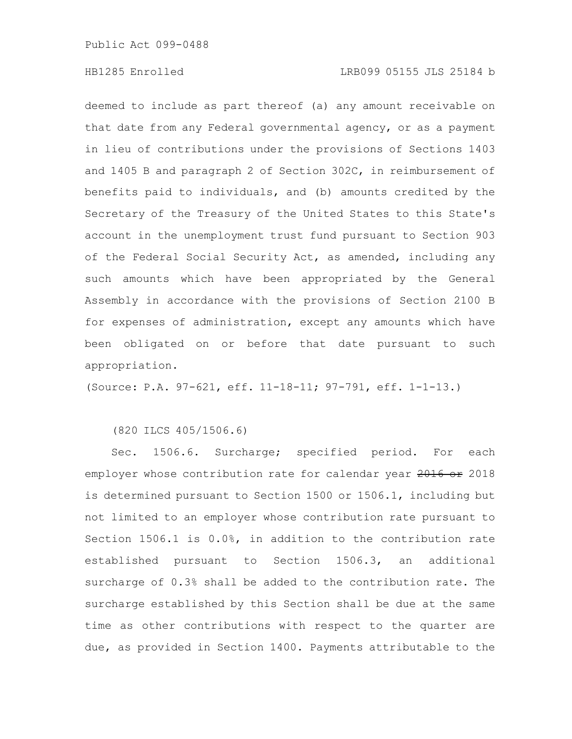### HB1285 Enrolled LRB099 05155 JLS 25184 b

deemed to include as part thereof (a) any amount receivable on that date from any Federal governmental agency, or as a payment in lieu of contributions under the provisions of Sections 1403 and 1405 B and paragraph 2 of Section 302C, in reimbursement of benefits paid to individuals, and (b) amounts credited by the Secretary of the Treasury of the United States to this State's account in the unemployment trust fund pursuant to Section 903 of the Federal Social Security Act, as amended, including any such amounts which have been appropriated by the General Assembly in accordance with the provisions of Section 2100 B for expenses of administration, except any amounts which have been obligated on or before that date pursuant to such appropriation.

(Source: P.A. 97-621, eff. 11-18-11; 97-791, eff. 1-1-13.)

(820 ILCS 405/1506.6)

Sec. 1506.6. Surcharge; specified period. For each employer whose contribution rate for calendar year 2016 or 2018 is determined pursuant to Section 1500 or 1506.1, including but not limited to an employer whose contribution rate pursuant to Section 1506.1 is 0.0%, in addition to the contribution rate established pursuant to Section 1506.3, an additional surcharge of 0.3% shall be added to the contribution rate. The surcharge established by this Section shall be due at the same time as other contributions with respect to the quarter are due, as provided in Section 1400. Payments attributable to the